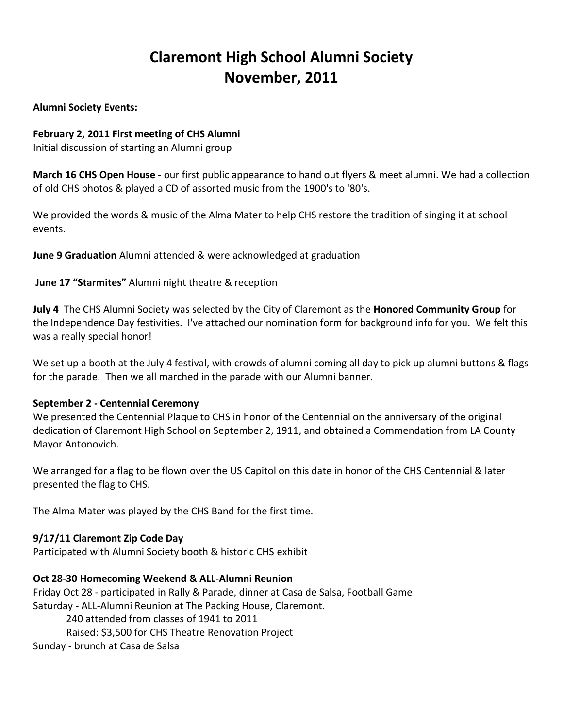# **Claremont High School Alumni Society November, 2011**

**Alumni Society Events:**

### **February 2, 2011 First meeting of CHS Alumni**

Initial discussion of starting an Alumni group

**March 16 CHS Open House** - our first public appearance to hand out flyers & meet alumni. We had a collection of old CHS photos & played a CD of assorted music from the 1900's to '80's.

We provided the words & music of the Alma Mater to help CHS restore the tradition of singing it at school events.

**June 9 Graduation** Alumni attended & were acknowledged at graduation

### **June 17 "Starmites"** Alumni night theatre & reception

**July 4** The CHS Alumni Society was selected by the City of Claremont as the **Honored Community Group** for the Independence Day festivities. I've attached our nomination form for background info for you. We felt this was a really special honor!

We set up a booth at the July 4 festival, with crowds of alumni coming all day to pick up alumni buttons & flags for the parade. Then we all marched in the parade with our Alumni banner.

### **September 2 - Centennial Ceremony**

We presented the Centennial Plaque to CHS in honor of the Centennial on the anniversary of the original dedication of Claremont High School on September 2, 1911, and obtained a Commendation from LA County Mayor Antonovich.

We arranged for a flag to be flown over the US Capitol on this date in honor of the CHS Centennial & later presented the flag to CHS.

The Alma Mater was played by the CHS Band for the first time.

### **9/17/11 Claremont Zip Code Day**

Participated with Alumni Society booth & historic CHS exhibit

#### **Oct 28-30 Homecoming Weekend & ALL-Alumni Reunion**

Friday Oct 28 - participated in Rally & Parade, dinner at Casa de Salsa, Football Game Saturday - ALL-Alumni Reunion at The Packing House, Claremont. 240 attended from classes of 1941 to 2011 Raised: \$3,500 for CHS Theatre Renovation Project Sunday - brunch at Casa de Salsa